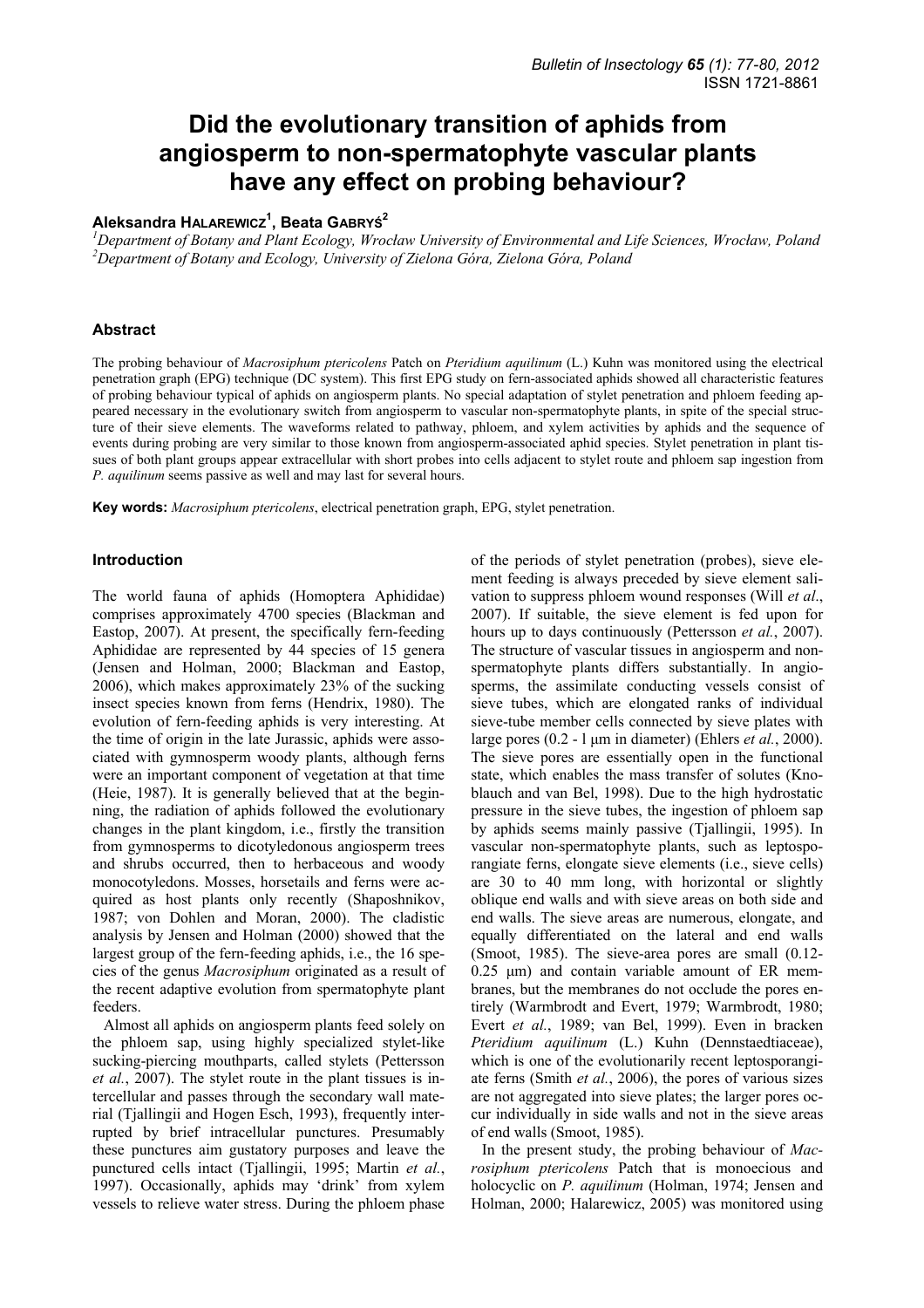# **Did the evolutionary transition of aphids from angiosperm to non-spermatophyte vascular plants have any effect on probing behaviour?**

## **Aleksandra HALAREWICZ<sup>1</sup> , Beata GABRYŚ<sup>2</sup>**

*1 Department of Botany and Plant Ecology, Wrocław University of Environmental and Life Sciences, Wrocław, Poland 2 Department of Botany and Ecology, University of Zielona Góra, Zielona Góra, Poland* 

### **Abstract**

The probing behaviour of *Macrosiphum ptericolens* Patch on *Pteridium aquilinum* (L.) Kuhn was monitored using the electrical penetration graph (EPG) technique (DC system). This first EPG study on fern-associated aphids showed all characteristic features of probing behaviour typical of aphids on angiosperm plants. No special adaptation of stylet penetration and phloem feeding appeared necessary in the evolutionary switch from angiosperm to vascular non-spermatophyte plants, in spite of the special structure of their sieve elements. The waveforms related to pathway, phloem, and xylem activities by aphids and the sequence of events during probing are very similar to those known from angiosperm-associated aphid species. Stylet penetration in plant tissues of both plant groups appear extracellular with short probes into cells adjacent to stylet route and phloem sap ingestion from *P. aquilinum* seems passive as well and may last for several hours.

**Key words:** *Macrosiphum ptericolens*, electrical penetration graph, EPG, stylet penetration.

### **Introduction**

The world fauna of aphids (Homoptera Aphididae) comprises approximately 4700 species (Blackman and Eastop, 2007). At present, the specifically fern-feeding Aphididae are represented by 44 species of 15 genera (Jensen and Holman, 2000; Blackman and Eastop, 2006), which makes approximately 23% of the sucking insect species known from ferns (Hendrix, 1980). The evolution of fern-feeding aphids is very interesting. At the time of origin in the late Jurassic, aphids were associated with gymnosperm woody plants, although ferns were an important component of vegetation at that time (Heie, 1987). It is generally believed that at the beginning, the radiation of aphids followed the evolutionary changes in the plant kingdom, i.e., firstly the transition from gymnosperms to dicotyledonous angiosperm trees and shrubs occurred, then to herbaceous and woody monocotyledons. Mosses, horsetails and ferns were acquired as host plants only recently (Shaposhnikov, 1987; von Dohlen and Moran, 2000). The cladistic analysis by Jensen and Holman (2000) showed that the largest group of the fern-feeding aphids, i.e., the 16 species of the genus *Macrosiphum* originated as a result of the recent adaptive evolution from spermatophyte plant feeders.

Almost all aphids on angiosperm plants feed solely on the phloem sap, using highly specialized stylet-like sucking-piercing mouthparts, called stylets (Pettersson *et al.*, 2007). The stylet route in the plant tissues is intercellular and passes through the secondary wall material (Tjallingii and Hogen Esch, 1993), frequently interrupted by brief intracellular punctures. Presumably these punctures aim gustatory purposes and leave the punctured cells intact (Tjallingii, 1995; Martin *et al.*, 1997). Occasionally, aphids may 'drink' from xylem vessels to relieve water stress. During the phloem phase of the periods of stylet penetration (probes), sieve element feeding is always preceded by sieve element salivation to suppress phloem wound responses (Will *et al*., 2007). If suitable, the sieve element is fed upon for hours up to days continuously (Pettersson *et al.*, 2007). The structure of vascular tissues in angiosperm and nonspermatophyte plants differs substantially. In angiosperms, the assimilate conducting vessels consist of sieve tubes, which are elongated ranks of individual sieve-tube member cells connected by sieve plates with large pores (0.2 - l µm in diameter) (Ehlers *et al.*, 2000). The sieve pores are essentially open in the functional state, which enables the mass transfer of solutes (Knoblauch and van Bel, 1998). Due to the high hydrostatic pressure in the sieve tubes, the ingestion of phloem sap by aphids seems mainly passive (Tjallingii, 1995). In vascular non-spermatophyte plants, such as leptosporangiate ferns, elongate sieve elements (i.e., sieve cells) are 30 to 40 mm long, with horizontal or slightly oblique end walls and with sieve areas on both side and end walls. The sieve areas are numerous, elongate, and equally differentiated on the lateral and end walls (Smoot, 1985). The sieve-area pores are small (0.12-  $0.25 \mu m$ ) and contain variable amount of ER membranes, but the membranes do not occlude the pores entirely (Warmbrodt and Evert, 1979; Warmbrodt, 1980; Evert *et al.*, 1989; van Bel, 1999). Even in bracken *Pteridium aquilinum* (L.) Kuhn (Dennstaedtiaceae), which is one of the evolutionarily recent leptosporangiate ferns (Smith *et al.*, 2006), the pores of various sizes are not aggregated into sieve plates; the larger pores occur individually in side walls and not in the sieve areas of end walls (Smoot, 1985).

In the present study, the probing behaviour of *Macrosiphum ptericolens* Patch that is monoecious and holocyclic on *P. aquilinum* (Holman, 1974; Jensen and Holman, 2000; Halarewicz, 2005) was monitored using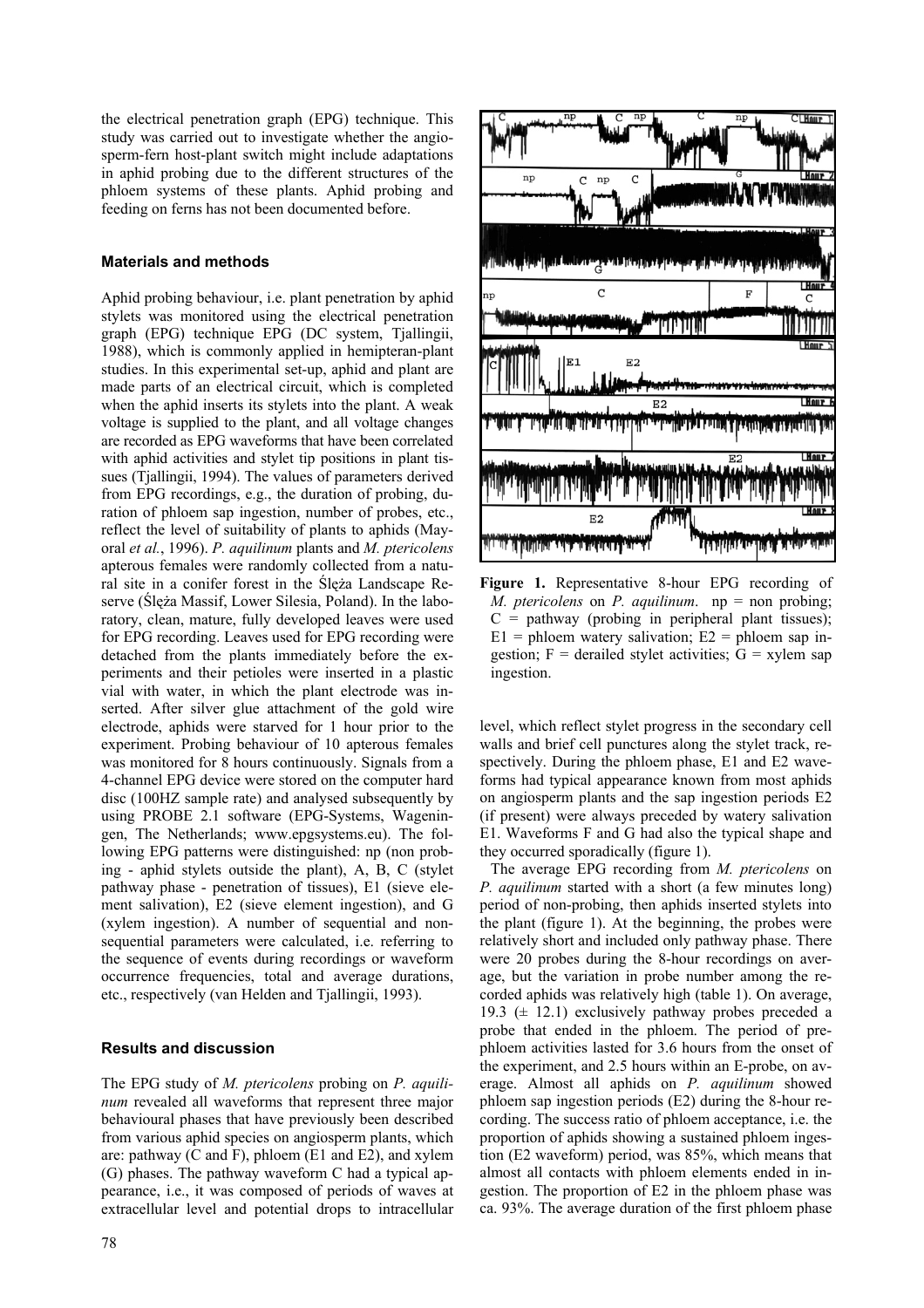the electrical penetration graph (EPG) technique. This study was carried out to investigate whether the angiosperm-fern host-plant switch might include adaptations in aphid probing due to the different structures of the phloem systems of these plants. Aphid probing and feeding on ferns has not been documented before.

## **Materials and methods**

Aphid probing behaviour, i.e. plant penetration by aphid stylets was monitored using the electrical penetration graph (EPG) technique EPG (DC system, Tjallingii, 1988), which is commonly applied in hemipteran-plant studies. In this experimental set-up, aphid and plant are made parts of an electrical circuit, which is completed when the aphid inserts its stylets into the plant. A weak voltage is supplied to the plant, and all voltage changes are recorded as EPG waveforms that have been correlated with aphid activities and stylet tip positions in plant tissues (Tjallingii, 1994). The values of parameters derived from EPG recordings, e.g., the duration of probing, duration of phloem sap ingestion, number of probes, etc., reflect the level of suitability of plants to aphids (Mayoral *et al.*, 1996). *P. aquilinum* plants and *M. ptericolens* apterous females were randomly collected from a natural site in a conifer forest in the Ślęża Landscape Reserve (Ślęża Massif, Lower Silesia, Poland). In the laboratory, clean, mature, fully developed leaves were used for EPG recording. Leaves used for EPG recording were detached from the plants immediately before the experiments and their petioles were inserted in a plastic vial with water, in which the plant electrode was inserted. After silver glue attachment of the gold wire electrode, aphids were starved for 1 hour prior to the experiment. Probing behaviour of 10 apterous females was monitored for 8 hours continuously. Signals from a 4-channel EPG device were stored on the computer hard disc (100HZ sample rate) and analysed subsequently by using PROBE 2.1 software (EPG-Systems, Wageningen, The Netherlands; www.epgsystems.eu). The following EPG patterns were distinguished: np (non probing - aphid stylets outside the plant), A, B, C (stylet pathway phase - penetration of tissues), E1 (sieve element salivation), E2 (sieve element ingestion), and G (xylem ingestion). A number of sequential and nonsequential parameters were calculated, i.e. referring to the sequence of events during recordings or waveform occurrence frequencies, total and average durations, etc., respectively (van Helden and Tjallingii, 1993).

## **Results and discussion**

The EPG study of *M. ptericolens* probing on *P. aquilinum* revealed all waveforms that represent three major behavioural phases that have previously been described from various aphid species on angiosperm plants, which are: pathway (C and F), phloem (E1 and E2), and xylem (G) phases. The pathway waveform C had a typical appearance, i.e., it was composed of periods of waves at extracellular level and potential drops to intracellular



**Figure 1.** Representative 8-hour EPG recording of *M. ptericolens* on *P. aquilinum*. np = non probing;  $C =$  pathway (probing in peripheral plant tissues);  $E1$  = phloem watery salivation;  $E2$  = phloem sap ingestion;  $F =$  derailed stylet activities;  $G =$  xylem sap ingestion.

level, which reflect stylet progress in the secondary cell walls and brief cell punctures along the stylet track, respectively. During the phloem phase, E1 and E2 waveforms had typical appearance known from most aphids on angiosperm plants and the sap ingestion periods E2 (if present) were always preceded by watery salivation E1. Waveforms F and G had also the typical shape and they occurred sporadically (figure 1).

The average EPG recording from *M. ptericolens* on *P. aquilinum* started with a short (a few minutes long) period of non-probing, then aphids inserted stylets into the plant (figure 1). At the beginning, the probes were relatively short and included only pathway phase. There were 20 probes during the 8-hour recordings on average, but the variation in probe number among the recorded aphids was relatively high (table 1). On average, 19.3 ( $\pm$  12.1) exclusively pathway probes preceded a probe that ended in the phloem. The period of prephloem activities lasted for 3.6 hours from the onset of the experiment, and 2.5 hours within an E-probe, on average. Almost all aphids on *P. aquilinum* showed phloem sap ingestion periods (E2) during the 8-hour recording. The success ratio of phloem acceptance, i.e. the proportion of aphids showing a sustained phloem ingestion (E2 waveform) period, was 85%, which means that almost all contacts with phloem elements ended in ingestion. The proportion of E2 in the phloem phase was ca. 93%. The average duration of the first phloem phase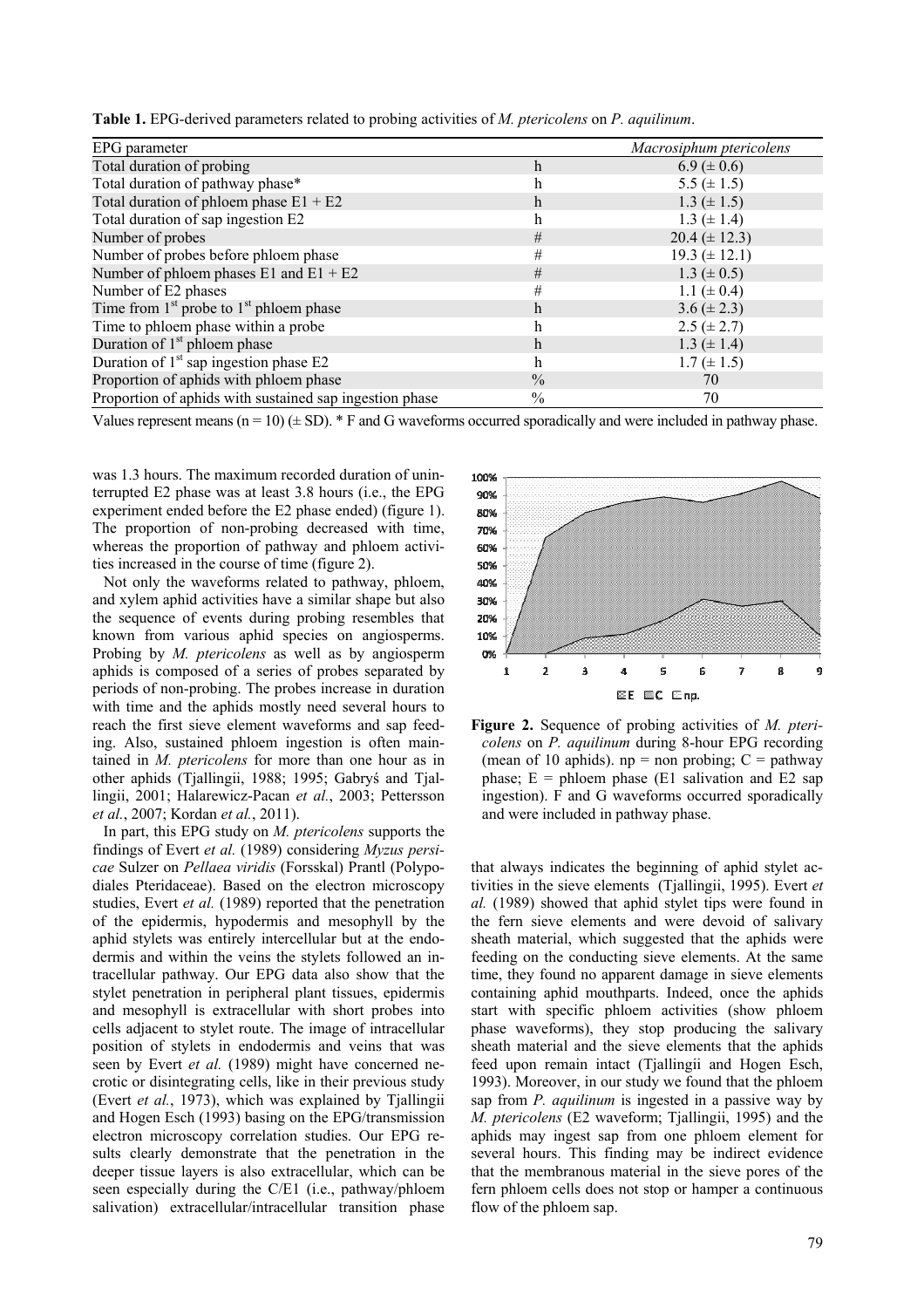**Table 1.** EPG-derived parameters related to probing activities of *M. ptericolens* on *P. aquilinum*.

| EPG parameter                                           |               | Macrosiphum ptericolens |
|---------------------------------------------------------|---------------|-------------------------|
| Total duration of probing                               | $\mathbf h$   | $6.9 \ (\pm 0.6)$       |
| Total duration of pathway phase*                        | $\hbar$       | 5.5 $(\pm 1.5)$         |
| Total duration of phloem phase $E1 + E2$                | h             | $1.3 (\pm 1.5)$         |
| Total duration of sap ingestion E2                      | h             | $1.3 (\pm 1.4)$         |
| Number of probes                                        | #             | $20.4 (\pm 12.3)$       |
| Number of probes before phloem phase                    | #             | $19.3 (\pm 12.1)$       |
| Number of phloem phases $E1$ and $E1 + E2$              | #             | $1.3 (\pm 0.5)$         |
| Number of E2 phases                                     | #             | 1.1 ( $\pm$ 0.4)        |
| Time from $1st$ probe to $1st$ phloem phase             | $\mathbf h$   | $3.6 (\pm 2.3)$         |
| Time to phloem phase within a probe                     | h             | $2.5 (\pm 2.7)$         |
| Duration of $1st$ phloem phase                          | h             | $1.3 (\pm 1.4)$         |
| Duration of $1st$ sap ingestion phase E2                | h             | $1.7 (\pm 1.5)$         |
| Proportion of aphids with phloem phase                  | $\frac{0}{0}$ | 70                      |
| Proportion of aphids with sustained sap ingestion phase | $\frac{0}{0}$ | 70                      |

Values represent means ( $n = 10$ ) ( $\pm$  SD).  $*$  F and G waveforms occurred sporadically and were included in pathway phase.

was 1.3 hours. The maximum recorded duration of uninterrupted E2 phase was at least 3.8 hours (i.e., the EPG experiment ended before the E2 phase ended) (figure 1). The proportion of non-probing decreased with time, whereas the proportion of pathway and phloem activities increased in the course of time (figure 2).

Not only the waveforms related to pathway, phloem, and xylem aphid activities have a similar shape but also the sequence of events during probing resembles that known from various aphid species on angiosperms. Probing by *M. ptericolens* as well as by angiosperm aphids is composed of a series of probes separated by periods of non-probing. The probes increase in duration with time and the aphids mostly need several hours to reach the first sieve element waveforms and sap feeding. Also, sustained phloem ingestion is often maintained in *M. ptericolens* for more than one hour as in other aphids (Tjallingii, 1988; 1995; Gabryś and Tjallingii, 2001; Halarewicz-Pacan *et al.*, 2003; Pettersson *et al.*, 2007; Kordan *et al.*, 2011).

In part, this EPG study on *M. ptericolens* supports the findings of Evert *et al.* (1989) considering *Myzus persicae* Sulzer on *Pellaea viridis* (Forsskal) Prantl (Polypodiales Pteridaceae). Based on the electron microscopy studies, Evert *et al.* (1989) reported that the penetration of the epidermis, hypodermis and mesophyll by the aphid stylets was entirely intercellular but at the endodermis and within the veins the stylets followed an intracellular pathway. Our EPG data also show that the stylet penetration in peripheral plant tissues, epidermis and mesophyll is extracellular with short probes into cells adjacent to stylet route. The image of intracellular position of stylets in endodermis and veins that was seen by Evert *et al.* (1989) might have concerned necrotic or disintegrating cells, like in their previous study (Evert *et al.*, 1973), which was explained by Tjallingii and Hogen Esch (1993) basing on the EPG/transmission electron microscopy correlation studies. Our EPG results clearly demonstrate that the penetration in the deeper tissue layers is also extracellular, which can be seen especially during the C/E1 (i.e., pathway/phloem salivation) extracellular/intracellular transition phase



**Figure 2.** Sequence of probing activities of *M. ptericolens* on *P. aquilinum* during 8-hour EPG recording (mean of 10 aphids).  $np = non probing$ ;  $C = pathway$ phase;  $E =$  phloem phase (E1 salivation and E2 sap ingestion). F and G waveforms occurred sporadically and were included in pathway phase.

that always indicates the beginning of aphid stylet activities in the sieve elements (Tjallingii, 1995). Evert *et al.* (1989) showed that aphid stylet tips were found in the fern sieve elements and were devoid of salivary sheath material, which suggested that the aphids were feeding on the conducting sieve elements. At the same time, they found no apparent damage in sieve elements containing aphid mouthparts. Indeed, once the aphids start with specific phloem activities (show phloem phase waveforms), they stop producing the salivary sheath material and the sieve elements that the aphids feed upon remain intact (Tjallingii and Hogen Esch, 1993). Moreover, in our study we found that the phloem sap from *P. aquilinum* is ingested in a passive way by *M. ptericolens* (E2 waveform; Tjallingii, 1995) and the aphids may ingest sap from one phloem element for several hours. This finding may be indirect evidence that the membranous material in the sieve pores of the fern phloem cells does not stop or hamper a continuous flow of the phloem sap.